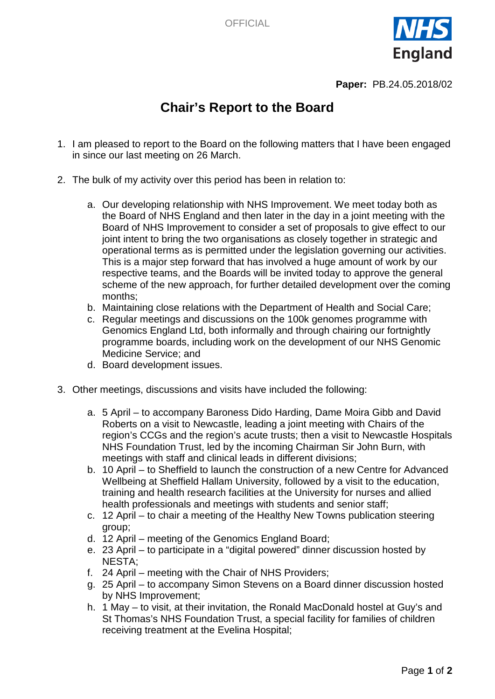

**Paper:** PB.24.05.2018/02

## **Chair's Report to the Board**

- 1. I am pleased to report to the Board on the following matters that I have been engaged in since our last meeting on 26 March.
- 2. The bulk of my activity over this period has been in relation to:
	- a. Our developing relationship with NHS Improvement. We meet today both as the Board of NHS England and then later in the day in a joint meeting with the Board of NHS Improvement to consider a set of proposals to give effect to our joint intent to bring the two organisations as closely together in strategic and operational terms as is permitted under the legislation governing our activities. This is a major step forward that has involved a huge amount of work by our respective teams, and the Boards will be invited today to approve the general scheme of the new approach, for further detailed development over the coming months;
	- b. Maintaining close relations with the Department of Health and Social Care;
	- c. Regular meetings and discussions on the 100k genomes programme with Genomics England Ltd, both informally and through chairing our fortnightly programme boards, including work on the development of our NHS Genomic Medicine Service; and
	- d. Board development issues.
- 3. Other meetings, discussions and visits have included the following:
	- a. 5 April to accompany Baroness Dido Harding, Dame Moira Gibb and David Roberts on a visit to Newcastle, leading a joint meeting with Chairs of the region's CCGs and the region's acute trusts; then a visit to Newcastle Hospitals NHS Foundation Trust, led by the incoming Chairman Sir John Burn, with meetings with staff and clinical leads in different divisions;
	- b. 10 April to Sheffield to launch the construction of a new Centre for Advanced Wellbeing at Sheffield Hallam University, followed by a visit to the education, training and health research facilities at the University for nurses and allied health professionals and meetings with students and senior staff;
	- c. 12 April to chair a meeting of the Healthy New Towns publication steering group;
	- d. 12 April meeting of the Genomics England Board;
	- e. 23 April to participate in a "digital powered" dinner discussion hosted by NESTA;
	- f. 24 April meeting with the Chair of NHS Providers;
	- g. 25 April to accompany Simon Stevens on a Board dinner discussion hosted by NHS Improvement;
	- h. 1 May to visit, at their invitation, the Ronald MacDonald hostel at Guy's and St Thomas's NHS Foundation Trust, a special facility for families of children receiving treatment at the Evelina Hospital;